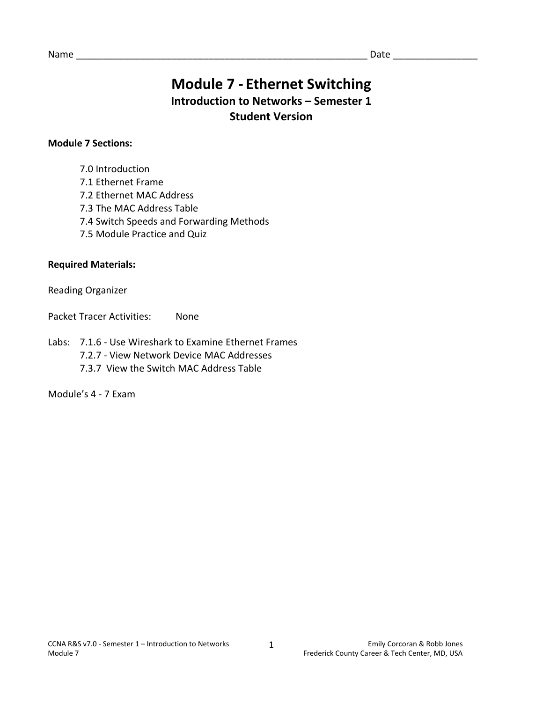# **Module 7 - Ethernet Switching Introduction to Networks – Semester 1 Student Version**

#### **Module 7 Sections:**

- 7.0 Introduction
- 7.1 Ethernet Frame
- 7.2 Ethernet MAC Address
- 7.3 The MAC Address Table
- 7.4 Switch Speeds and Forwarding Methods
- 7.5 Module Practice and Quiz

#### **Required Materials:**

Reading Organizer

Packet Tracer Activities: None

- Labs: 7.1.6 Use Wireshark to Examine Ethernet Frames
	- 7.2.7 View Network Device MAC Addresses
	- 7.3.7 View the Switch MAC Address Table

Module's 4 - 7 Exam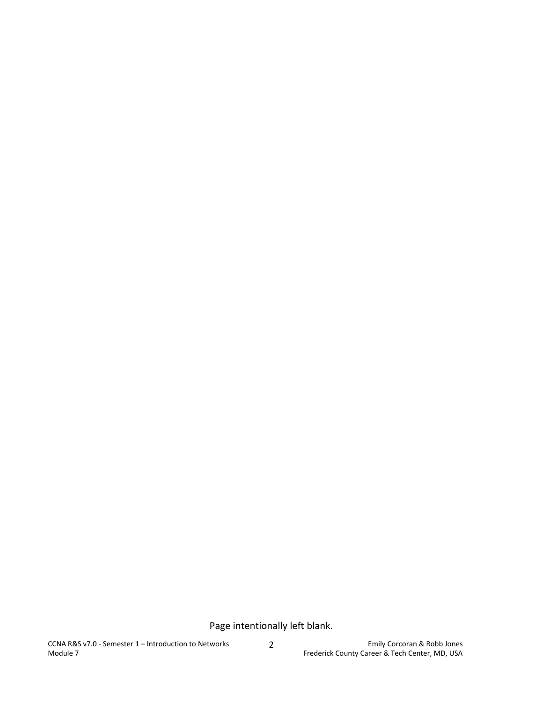Page intentionally left blank.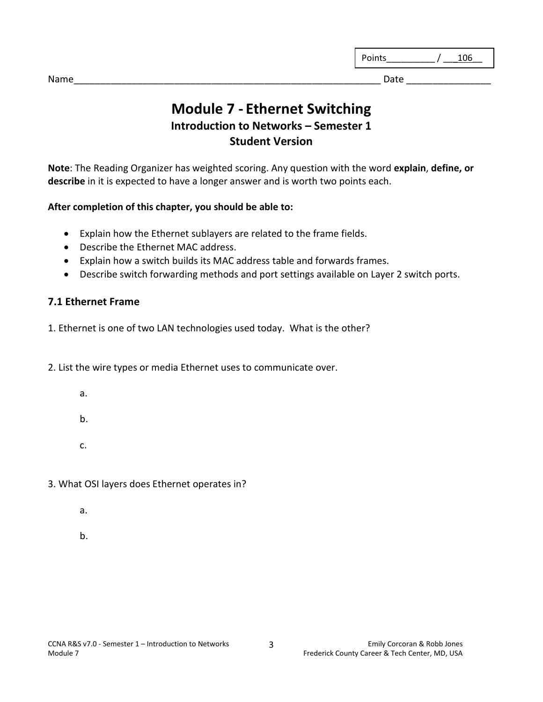Name\_\_\_\_\_\_\_\_\_\_\_\_\_\_\_\_\_\_\_\_\_\_\_\_\_\_\_\_\_\_\_\_\_\_\_\_\_\_\_\_\_\_\_\_\_\_\_\_\_\_\_\_\_\_\_\_\_\_ Date \_\_\_\_\_\_\_\_\_\_\_\_\_\_\_\_

# **Module 7 - Ethernet Switching Introduction to Networks – Semester 1 Student Version**

**Note**: The Reading Organizer has weighted scoring. Any question with the word **explain**, **define, or describe** in it is expected to have a longer answer and is worth two points each.

### **After completion of this chapter, you should be able to:**

- Explain how the Ethernet sublayers are related to the frame fields.
- Describe the Ethernet MAC address.
- Explain how a switch builds its MAC address table and forwards frames.
- Describe switch forwarding methods and port settings available on Layer 2 switch ports.

## **7.1 Ethernet Frame**

1. Ethernet is one of two LAN technologies used today. What is the other?

2. List the wire types or media Ethernet uses to communicate over.

- a.
- 
- b.

c.

### 3. What OSI layers does Ethernet operates in?

- a.
- b.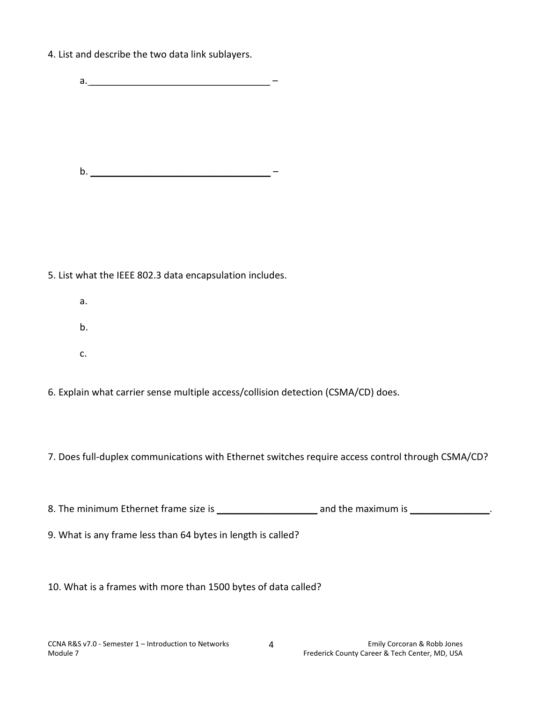4. List and describe the two data link sublayers.

a.  $\qquad \qquad -$ 

 $b.$   $-$ 

5. List what the IEEE 802.3 data encapsulation includes.

- a.
- 
- b.
- c.

6. Explain what carrier sense multiple access/collision detection (CSMA/CD) does.

7. Does full-duplex communications with Ethernet switches require access control through CSMA/CD?

8. The minimum Ethernet frame size is \_\_\_\_\_\_\_\_\_\_\_\_\_\_\_\_\_\_\_ and the maximum is \_\_\_\_\_\_\_\_\_\_\_\_\_\_\_.

9. What is any frame less than 64 bytes in length is called?

10. What is a frames with more than 1500 bytes of data called?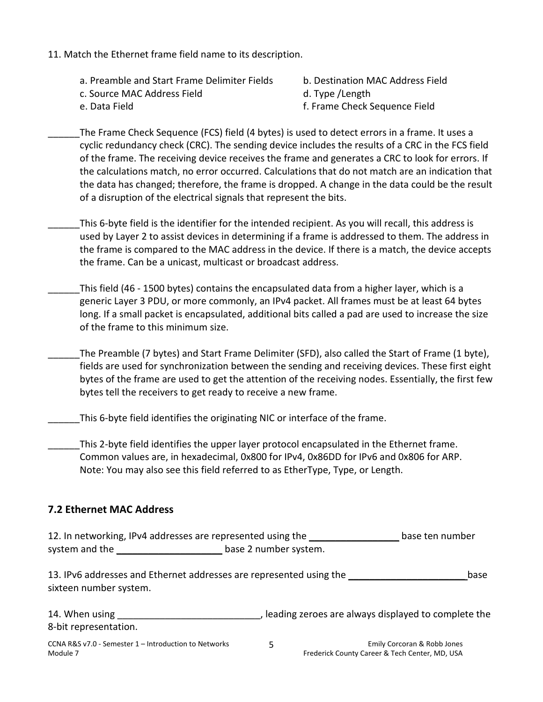- 11. Match the Ethernet frame field name to its description.
	- a. Preamble and Start Frame Delimiter Fields b. Destination MAC Address Field
	- c. Source MAC Address Field d. Type /Length
	-
	- e. Data Field **f. Frame Check Sequence Field**
	- The Frame Check Sequence (FCS) field (4 bytes) is used to detect errors in a frame. It uses a cyclic redundancy check (CRC). The sending device includes the results of a CRC in the FCS field of the frame. The receiving device receives the frame and generates a CRC to look for errors. If the calculations match, no error occurred. Calculations that do not match are an indication that the data has changed; therefore, the frame is dropped. A change in the data could be the result of a disruption of the electrical signals that represent the bits.
	- This 6-byte field is the identifier for the intended recipient. As you will recall, this address is used by Layer 2 to assist devices in determining if a frame is addressed to them. The address in the frame is compared to the MAC address in the device. If there is a match, the device accepts the frame. Can be a unicast, multicast or broadcast address.
- This field (46 1500 bytes) contains the encapsulated data from a higher layer, which is a generic Layer 3 PDU, or more commonly, an IPv4 packet. All frames must be at least 64 bytes long. If a small packet is encapsulated, additional bits called a pad are used to increase the size of the frame to this minimum size.
- \_\_\_\_\_\_The Preamble (7 bytes) and Start Frame Delimiter (SFD), also called the Start of Frame (1 byte), fields are used for synchronization between the sending and receiving devices. These first eight bytes of the frame are used to get the attention of the receiving nodes. Essentially, the first few bytes tell the receivers to get ready to receive a new frame.
- This 6-byte field identifies the originating NIC or interface of the frame.
- \_\_\_\_\_\_This 2-byte field identifies the upper layer protocol encapsulated in the Ethernet frame. Common values are, in hexadecimal, 0x800 for IPv4, 0x86DD for IPv6 and 0x806 for ARP. Note: You may also see this field referred to as EtherType, Type, or Length.

## **7.2 Ethernet MAC Address**

12. In networking, IPv4 addresses are represented using the \_\_\_\_\_\_\_\_\_\_\_\_\_\_\_\_\_\_\_\_ base ten number system and the \_\_\_\_\_\_\_\_\_\_\_\_\_\_\_\_\_\_\_\_ base 2 number system.

13. IPv6 addresses and Ethernet addresses are represented using the \_\_\_\_\_\_\_\_\_\_\_\_\_\_\_\_\_\_\_\_\_\_ base sixteen number system.

| 14. When using        | leading zeroes are always displayed to complete the |
|-----------------------|-----------------------------------------------------|
| 8-bit representation. |                                                     |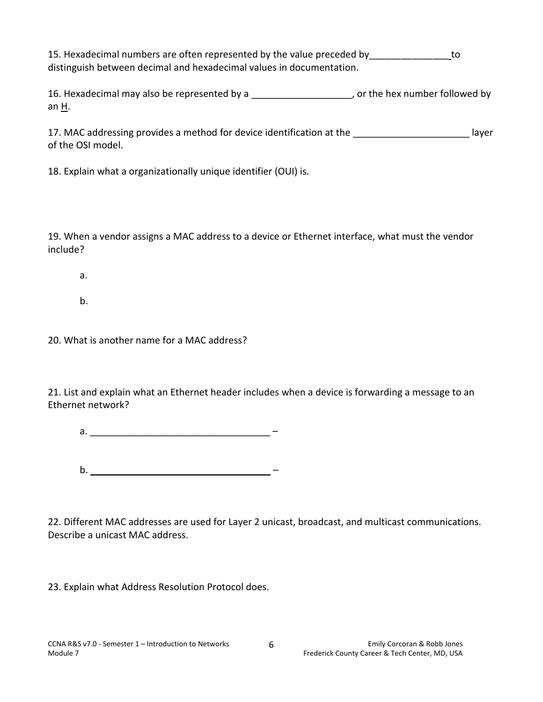15. Hexadecimal numbers are often represented by the value preceded by\_\_\_\_\_\_\_\_\_\_\_\_\_\_\_ to distinguish between decimal and hexadecimal values in documentation.

16. Hexadecimal may also be represented by a \_\_\_\_\_\_\_\_\_\_\_\_\_\_\_\_\_\_\_, or the hex number followed by an  $H$ .

17. MAC addressing provides a method for device identification at the **EXAC and SO and SO and SO and SO and SO** layer of the OSI model.

18. Explain what a organizationally unique identifier (OUI) is.

19. When a vendor assigns a MAC address to a device or Ethernet interface, what must the vendor include?

a.

b.

20. What is another name for a MAC address?

21. List and explain what an Ethernet header includes when a device is forwarding a message to an Ethernet network?

a. \_\_\_\_\_\_\_\_\_\_\_\_\_\_\_\_\_\_\_\_\_\_\_\_\_\_\_\_\_\_\_\_\_\_ –

 $b.$   $-$ 

22. Different MAC addresses are used for Layer 2 unicast, broadcast, and multicast communications. Describe a unicast MAC address.

23. Explain what Address Resolution Protocol does.

6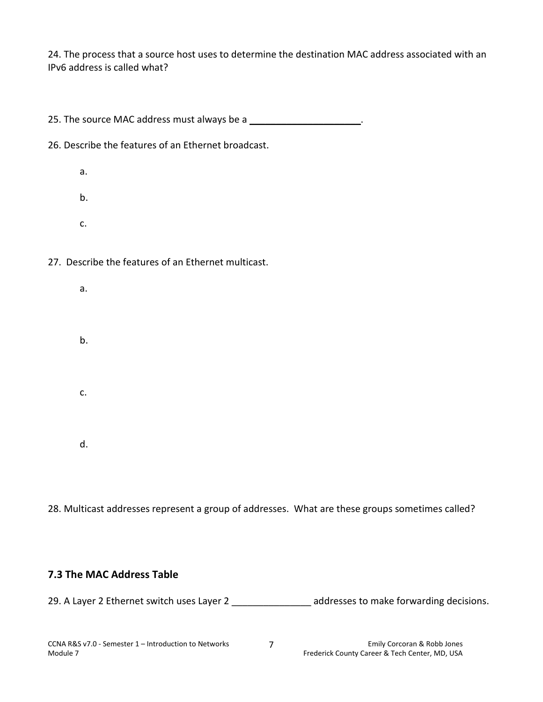24. The process that a source host uses to determine the destination MAC address associated with an IPv6 address is called what?

25. The source MAC address must always be a \_\_\_\_\_\_\_\_\_\_\_\_\_\_\_\_\_\_\_\_\_\_.

- 26. Describe the features of an Ethernet broadcast.
	- a. b.
	- c.
- 27. Describe the features of an Ethernet multicast.
	- a.
	- b.
	-
	-
	- c.
	- d.

28. Multicast addresses represent a group of addresses. What are these groups sometimes called?

### **7.3 The MAC Address Table**

29. A Layer 2 Ethernet switch uses Layer 2 \_\_\_\_\_\_\_\_\_\_\_\_\_\_\_\_\_\_\_\_\_\_\_\_\_\_ addresses to make forwarding decisions.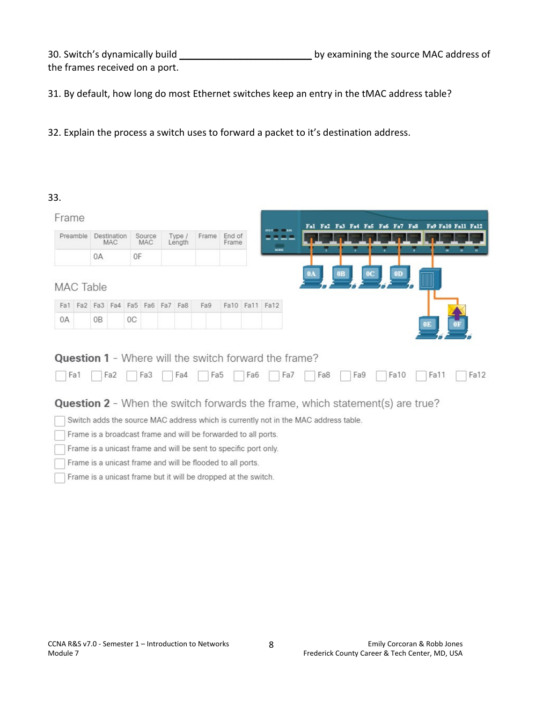30. Switch's dynamically build \_\_\_\_\_\_\_\_\_\_\_\_\_\_\_\_\_\_\_\_\_\_\_\_\_\_\_\_\_\_\_\_\_\_by examining the source MAC address of the frames received on a port.

31. By default, how long do most Ethernet switches keep an entry in the tMAC address table?

32. Explain the process a switch uses to forward a packet to it's destination address.

#### 33.

| Frame                                                                                                                        |     |                           |                 |         |                      |  |                  |                                                                                                                                                                         |                 |                 |                             |
|------------------------------------------------------------------------------------------------------------------------------|-----|---------------------------|-----------------|---------|----------------------|--|------------------|-------------------------------------------------------------------------------------------------------------------------------------------------------------------------|-----------------|-----------------|-----------------------------|
| Preamble                                                                                                                     |     | Destination<br><b>MAC</b> |                 |         | Source<br><b>MAC</b> |  | Type /<br>Length | Frame                                                                                                                                                                   | End of<br>Frame |                 | <b>CVC T</b><br><b>MODE</b> |
|                                                                                                                              |     |                           | 0A              |         | 0F                   |  |                  |                                                                                                                                                                         |                 |                 |                             |
| <b>MAC</b> Table                                                                                                             |     |                           |                 |         |                      |  |                  |                                                                                                                                                                         |                 |                 |                             |
| Fa1                                                                                                                          |     | Fa2 Fa3 Fa4               |                 |         | Fa5 Fa6 Fa7 Fa8      |  |                  | Fa9                                                                                                                                                                     |                 | Fa10 Fa11 Fa12  |                             |
| 0A                                                                                                                           |     | 0B                        |                 | $_{0C}$ |                      |  |                  |                                                                                                                                                                         |                 |                 |                             |
|                                                                                                                              | Fa1 |                           | Fa <sub>2</sub> |         | Fa3                  |  | Fa4              | <b>Question 1</b> - Where will the switch forward the frame?<br>Fa <sub>5</sub><br><b>Question 2</b> - When the switch forwards the frame, which statement(s) are true? |                 | Fa <sub>6</sub> | Fa7                         |
|                                                                                                                              |     |                           |                 |         |                      |  |                  | Switch adds the source MAC address which is currently not in the MAC address table.                                                                                     |                 |                 |                             |
|                                                                                                                              |     |                           |                 |         |                      |  |                  | Frame is a broadcast frame and will be forwarded to all ports.                                                                                                          |                 |                 |                             |
|                                                                                                                              |     |                           |                 |         |                      |  |                  | Frame is a unicast frame and will be sent to specific port only.                                                                                                        |                 |                 |                             |
| Frame is a unicast frame and will be flooded to all ports.<br>Frame is a unicast frame but it will be dropped at the switch. |     |                           |                 |         |                      |  |                  |                                                                                                                                                                         |                 |                 |                             |
|                                                                                                                              |     |                           |                 |         |                      |  |                  |                                                                                                                                                                         |                 |                 |                             |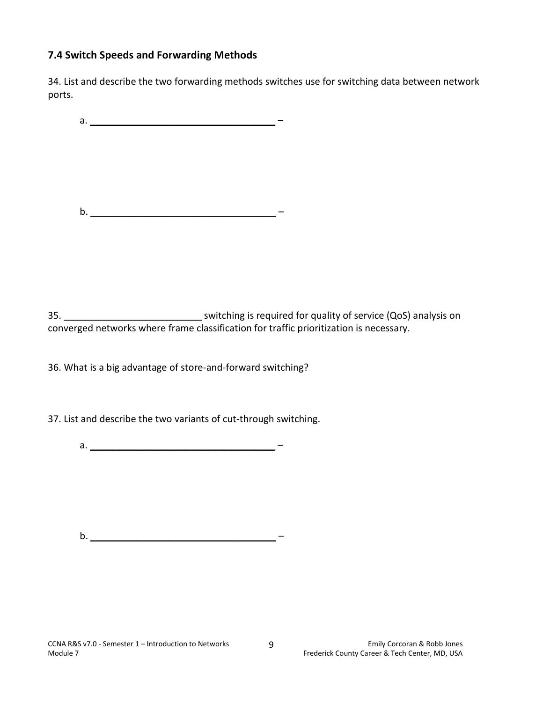### **7.4 Switch Speeds and Forwarding Methods**

34. List and describe the two forwarding methods switches use for switching data between network ports.

a. \_\_\_\_\_\_\_\_\_\_\_\_\_\_\_\_\_\_\_\_\_\_\_\_\_\_\_\_\_\_\_\_\_\_\_ –

b. \_\_\_\_\_\_\_\_\_\_\_\_\_\_\_\_\_\_\_\_\_\_\_\_\_\_\_\_\_\_\_\_\_\_\_ –

35. \_\_\_\_\_\_\_\_\_\_\_\_\_\_\_\_\_\_\_\_\_\_\_\_\_\_ switching is required for quality of service (QoS) analysis on converged networks where frame classification for traffic prioritization is necessary.

36. What is a big advantage of store-and-forward switching?

37. List and describe the two variants of cut-through switching.

a. \_\_\_\_\_\_\_\_\_\_\_\_\_\_\_\_\_\_\_\_\_\_\_\_\_\_\_\_\_\_\_\_\_\_\_ –

b. \_\_\_\_\_\_\_\_\_\_\_\_\_\_\_\_\_\_\_\_\_\_\_\_\_\_\_\_\_\_\_\_\_\_\_ –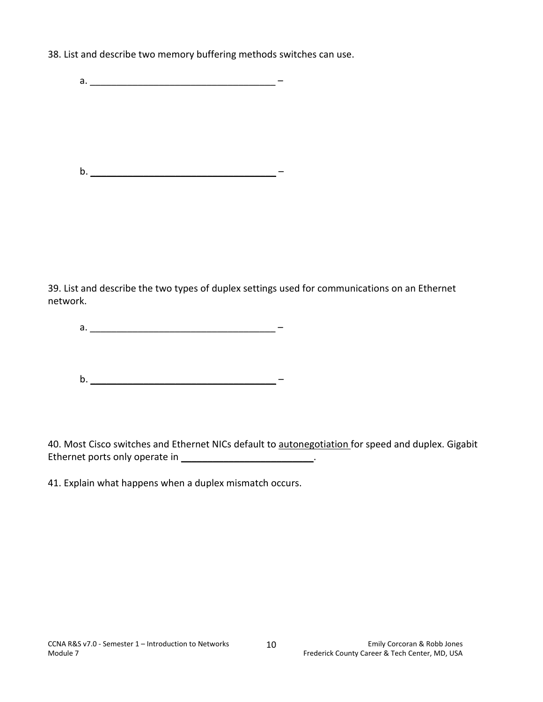38. List and describe two memory buffering methods switches can use.

a.  $-$ 

 $b.$   $-$ 

39. List and describe the two types of duplex settings used for communications on an Ethernet network.

a. \_\_\_\_\_\_\_\_\_\_\_\_\_\_\_\_\_\_\_\_\_\_\_\_\_\_\_\_\_\_\_\_\_\_\_ –

b. \_\_\_\_\_\_\_\_\_\_\_\_\_\_\_\_\_\_\_\_\_\_\_\_\_\_\_\_\_\_\_\_\_\_\_ –

40. Most Cisco switches and Ethernet NICs default to autonegotiation for speed and duplex. Gigabit Ethernet ports only operate in \_\_\_\_\_\_\_\_\_\_\_\_\_\_\_\_\_\_\_\_\_\_\_\_\_\_.

41. Explain what happens when a duplex mismatch occurs.